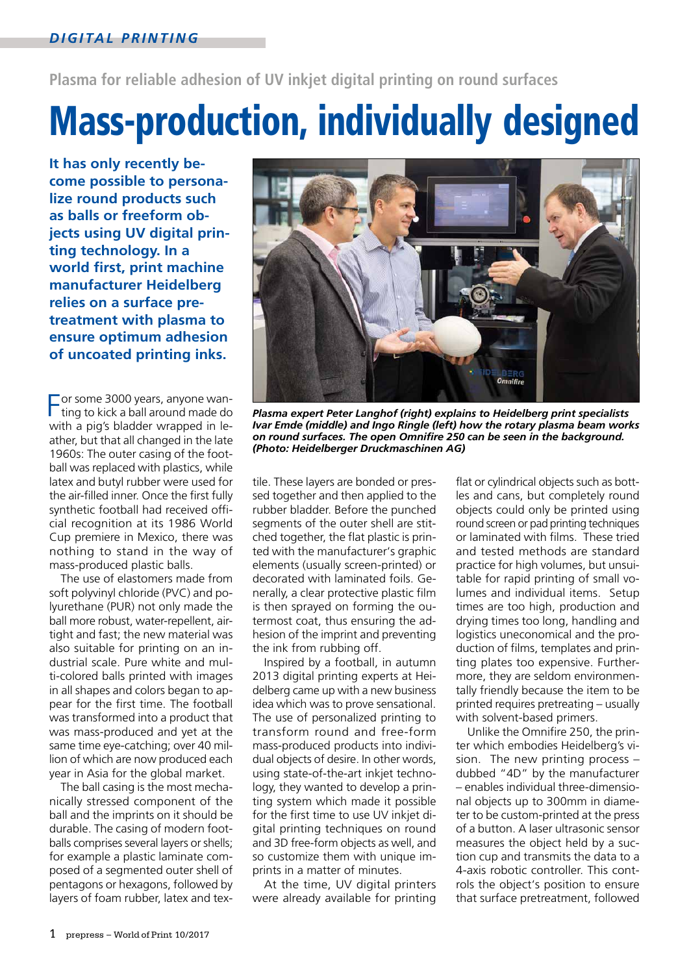**Plasma for reliable adhesion of UV inkjet digital printing on round surfaces**

# Mass-production, individually designed

**It has only recently become possible to personalize round products such as balls or freeform objects using UV digital printing technology. In a world first, print machine manufacturer Heidelberg relies on a surface pretreatment with plasma to ensure optimum adhesion of uncoated printing inks.**

For some 3000 years, anyone wanting to kick a ball around made do with a pig's bladder wrapped in leather, but that all changed in the late 1960s: The outer casing of the football was replaced with plastics, while latex and butyl rubber were used for the air-filled inner. Once the first fully synthetic football had received official recognition at its 1986 World Cup premiere in Mexico, there was nothing to stand in the way of mass-produced plastic balls.

The use of elastomers made from soft polyvinyl chloride (PVC) and polyurethane (PUR) not only made the ball more robust, water-repellent, airtight and fast; the new material was also suitable for printing on an industrial scale. Pure white and multi-colored balls printed with images in all shapes and colors began to appear for the first time. The football was transformed into a product that was mass-produced and yet at the same time eye-catching; over 40 million of which are now produced each year in Asia for the global market.

The ball casing is the most mechanically stressed component of the ball and the imprints on it should be durable. The casing of modern footballs comprises several layers or shells; for example a plastic laminate composed of a segmented outer shell of pentagons or hexagons, followed by layers of foam rubber, latex and tex-



*Plasma expert Peter Langhof (right) explains to Heidelberg print specialists Ivar Emde (middle) and Ingo Ringle (left) how the rotary plasma beam works on round surfaces. The open Omnifire 250 can be seen in the background. (Photo: Heidelberger Druckmaschinen AG)*

tile. These layers are bonded or pressed together and then applied to the rubber bladder. Before the punched segments of the outer shell are stitched together, the flat plastic is printed with the manufacturer's graphic elements (usually screen-printed) or decorated with laminated foils. Generally, a clear protective plastic film is then sprayed on forming the outermost coat, thus ensuring the adhesion of the imprint and preventing the ink from rubbing off.

Inspired by a football, in autumn 2013 digital printing experts at Heidelberg came up with a new business idea which was to prove sensational. The use of personalized printing to transform round and free-form mass-produced products into individual objects of desire. In other words, using state-of-the-art inkjet technology, they wanted to develop a printing system which made it possible for the first time to use UV inkjet digital printing techniques on round and 3D free-form objects as well, and so customize them with unique imprints in a matter of minutes.

At the time, UV digital printers were already available for printing flat or cylindrical objects such as bottles and cans, but completely round objects could only be printed using round screen or pad printing techniques or laminated with films. These tried and tested methods are standard practice for high volumes, but unsuitable for rapid printing of small volumes and individual items. Setup times are too high, production and drying times too long, handling and logistics uneconomical and the production of films, templates and printing plates too expensive. Furthermore, they are seldom environmentally friendly because the item to be printed requires pretreating – usually with solvent-based primers.

Unlike the Omnifire 250, the printer which embodies Heidelberg's vision. The new printing process – dubbed "4D" by the manufacturer – enables individual three-dimensional objects up to 300mm in diameter to be custom-printed at the press of a button. A laser ultrasonic sensor measures the object held by a suction cup and transmits the data to a 4-axis robotic controller. This controls the object's position to ensure that surface pretreatment, followed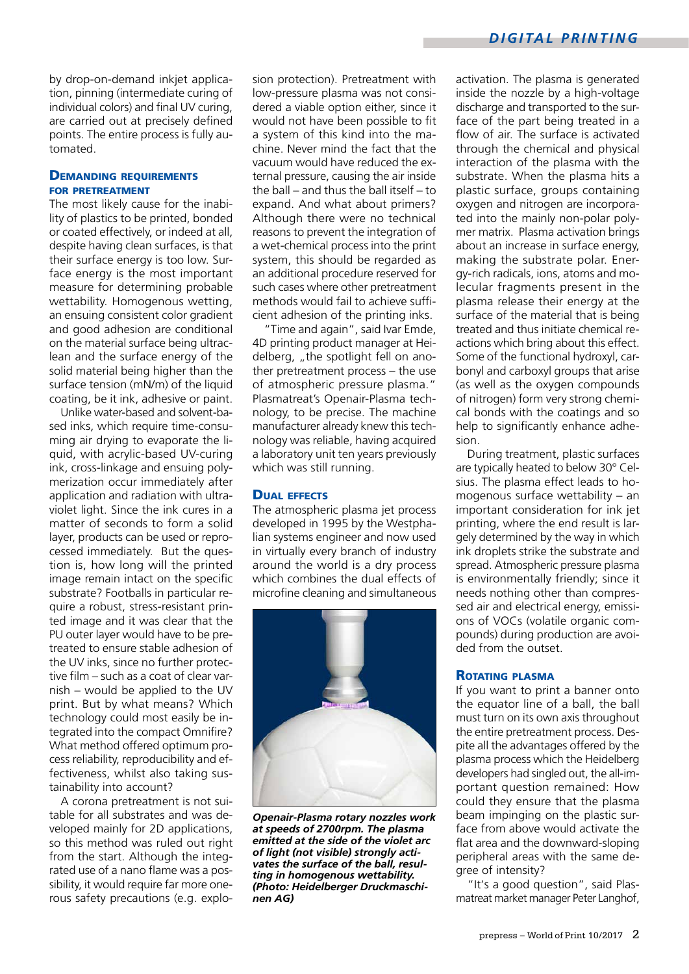by drop-on-demand inkjet application, pinning (intermediate curing of individual colors) and final UV curing, are carried out at precisely defined points. The entire process is fully automated.

# **DEMANDING REQUIREMENTS** for pretreatment

The most likely cause for the inability of plastics to be printed, bonded or coated effectively, or indeed at all, despite having clean surfaces, is that their surface energy is too low. Surface energy is the most important measure for determining probable wettability. Homogenous wetting, an ensuing consistent color gradient and good adhesion are conditional on the material surface being ultraclean and the surface energy of the solid material being higher than the surface tension (mN/m) of the liquid coating, be it ink, adhesive or paint.

Unlike water-based and solvent-based inks, which require time-consuming air drying to evaporate the liquid, with acrylic-based UV-curing ink, cross-linkage and ensuing polymerization occur immediately after application and radiation with ultraviolet light. Since the ink cures in a matter of seconds to form a solid layer, products can be used or reprocessed immediately. But the question is, how long will the printed image remain intact on the specific substrate? Footballs in particular require a robust, stress-resistant printed image and it was clear that the PU outer layer would have to be pretreated to ensure stable adhesion of the UV inks, since no further protective film – such as a coat of clear varnish – would be applied to the UV print. But by what means? Which technology could most easily be integrated into the compact Omnifire? What method offered optimum process reliability, reproducibility and effectiveness, whilst also taking sustainability into account?

A corona pretreatment is not suitable for all substrates and was developed mainly for 2D applications, so this method was ruled out right from the start. Although the integrated use of a nano flame was a possibility, it would require far more onerous safety precautions (e.g. explosion protection). Pretreatment with low-pressure plasma was not considered a viable option either, since it would not have been possible to fit a system of this kind into the machine. Never mind the fact that the vacuum would have reduced the external pressure, causing the air inside the ball – and thus the ball itself – to expand. And what about primers? Although there were no technical reasons to prevent the integration of a wet-chemical process into the print system, this should be regarded as an additional procedure reserved for such cases where other pretreatment methods would fail to achieve sufficient adhesion of the printing inks.

"Time and again", said Ivar Emde, 4D printing product manager at Heidelberg, "the spotlight fell on another pretreatment process – the use of atmospheric pressure plasma." Plasmatreat's Openair-Plasma technology, to be precise. The machine manufacturer already knew this technology was reliable, having acquired a laboratory unit ten years previously which was still running.

# Dual effects

The atmospheric plasma jet process developed in 1995 by the Westphalian systems engineer and now used in virtually every branch of industry around the world is a dry process which combines the dual effects of microfine cleaning and simultaneous



*Openair-Plasma rotary nozzles work at speeds of 2700rpm. The plasma emitted at the side of the violet arc of light (not visible) strongly activates the surface of the ball, resulting in homogenous wettability. (Photo: Heidelberger Druckmaschinen AG)*

activation. The plasma is generated inside the nozzle by a high-voltage discharge and transported to the surface of the part being treated in a flow of air. The surface is activated through the chemical and physical interaction of the plasma with the substrate. When the plasma hits a plastic surface, groups containing oxygen and nitrogen are incorporated into the mainly non-polar polymer matrix. Plasma activation brings about an increase in surface energy, making the substrate polar. Energy-rich radicals, ions, atoms and molecular fragments present in the plasma release their energy at the surface of the material that is being treated and thus initiate chemical reactions which bring about this effect. Some of the functional hydroxyl, carbonyl and carboxyl groups that arise (as well as the oxygen compounds of nitrogen) form very strong chemical bonds with the coatings and so help to significantly enhance adhesion.

During treatment, plastic surfaces are typically heated to below 30° Celsius. The plasma effect leads to homogenous surface wettability – an important consideration for ink jet printing, where the end result is largely determined by the way in which ink droplets strike the substrate and spread. Atmospheric pressure plasma is environmentally friendly; since it needs nothing other than compressed air and electrical energy, emissions of VOCs (volatile organic compounds) during production are avoided from the outset.

#### Rotating plasma

If you want to print a banner onto the equator line of a ball, the ball must turn on its own axis throughout the entire pretreatment process. Despite all the advantages offered by the plasma process which the Heidelberg developers had singled out, the all-important question remained: How could they ensure that the plasma beam impinging on the plastic surface from above would activate the flat area and the downward-sloping peripheral areas with the same degree of intensity?

"It's a good question", said Plasmatreat market manager Peter Langhof,